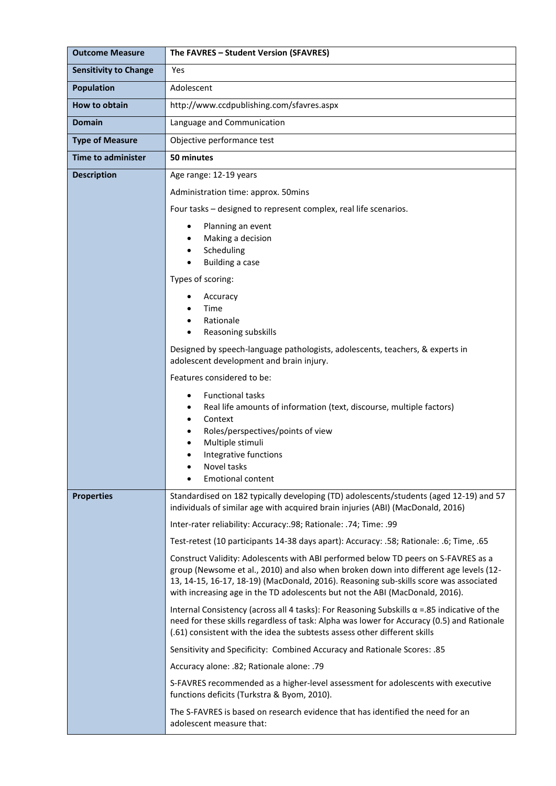| <b>Outcome Measure</b>       | The FAVRES - Student Version (SFAVRES)                                                                                                                                                                                                                                                                                                               |
|------------------------------|------------------------------------------------------------------------------------------------------------------------------------------------------------------------------------------------------------------------------------------------------------------------------------------------------------------------------------------------------|
| <b>Sensitivity to Change</b> | Yes                                                                                                                                                                                                                                                                                                                                                  |
| <b>Population</b>            | Adolescent                                                                                                                                                                                                                                                                                                                                           |
| How to obtain                | http://www.ccdpublishing.com/sfavres.aspx                                                                                                                                                                                                                                                                                                            |
| <b>Domain</b>                | Language and Communication                                                                                                                                                                                                                                                                                                                           |
| <b>Type of Measure</b>       | Objective performance test                                                                                                                                                                                                                                                                                                                           |
| <b>Time to administer</b>    | 50 minutes                                                                                                                                                                                                                                                                                                                                           |
| <b>Description</b>           | Age range: 12-19 years                                                                                                                                                                                                                                                                                                                               |
|                              | Administration time: approx. 50mins                                                                                                                                                                                                                                                                                                                  |
|                              | Four tasks - designed to represent complex, real life scenarios.                                                                                                                                                                                                                                                                                     |
|                              | Planning an event<br>$\bullet$<br>Making a decision<br>Scheduling<br>Building a case<br>Types of scoring:<br>Accuracy<br>Time<br>Rationale<br>Reasoning subskills<br>$\bullet$<br>Designed by speech-language pathologists, adolescents, teachers, & experts in<br>adolescent development and brain injury.<br>Features considered to be:            |
|                              | <b>Functional tasks</b><br>$\bullet$<br>Real life amounts of information (text, discourse, multiple factors)<br>Context<br>Roles/perspectives/points of view<br>Multiple stimuli<br>Integrative functions<br>٠<br>Novel tasks<br><b>Emotional content</b>                                                                                            |
| <b>Properties</b>            | Standardised on 182 typically developing (TD) adolescents/students (aged 12-19) and 57<br>individuals of similar age with acquired brain injuries (ABI) (MacDonald, 2016)                                                                                                                                                                            |
|                              | Inter-rater reliability: Accuracy: 98; Rationale: .74; Time: .99                                                                                                                                                                                                                                                                                     |
|                              | Test-retest (10 participants 14-38 days apart): Accuracy: .58; Rationale: .6; Time, .65                                                                                                                                                                                                                                                              |
|                              | Construct Validity: Adolescents with ABI performed below TD peers on S-FAVRES as a<br>group (Newsome et al., 2010) and also when broken down into different age levels (12-<br>13, 14-15, 16-17, 18-19) (MacDonald, 2016). Reasoning sub-skills score was associated<br>with increasing age in the TD adolescents but not the ABI (MacDonald, 2016). |
|                              | Internal Consistency (across all 4 tasks): For Reasoning Subskills $\alpha$ = 85 indicative of the<br>need for these skills regardless of task: Alpha was lower for Accuracy (0.5) and Rationale<br>(.61) consistent with the idea the subtests assess other different skills                                                                        |
|                              | Sensitivity and Specificity: Combined Accuracy and Rationale Scores: .85                                                                                                                                                                                                                                                                             |
|                              | Accuracy alone: .82; Rationale alone: .79                                                                                                                                                                                                                                                                                                            |
|                              | S-FAVRES recommended as a higher-level assessment for adolescents with executive<br>functions deficits (Turkstra & Byom, 2010).                                                                                                                                                                                                                      |
|                              | The S-FAVRES is based on research evidence that has identified the need for an<br>adolescent measure that:                                                                                                                                                                                                                                           |